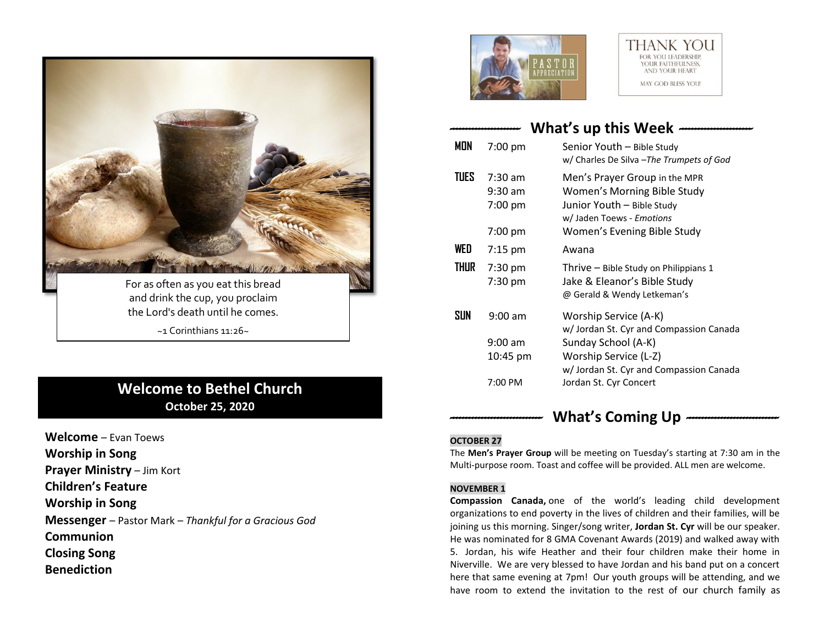

# **Welcome to Bethel Church October 25, 2020**

**Welcome** – Evan Toews **Worship in Song Prayer Ministry** – Jim Kort **Children's Feature Worship in Song Messenger** – Pastor Mark – *Thankful for a Gracious God* **Communion Closing Song Benediction**



### **THANK YOU EOP VOLLEADERSHIP** YOUR FAITHFULNESS, AND YOUR HEART MAY GOD BLESS YOU!

# *----------------------* **What's up this Week** *-----------------------*

| mon   | 7:00 pm                                               | Senior Youth - Bible Study<br>w/ Charles De Silva - The Trumpets of God                                                                                                              |
|-------|-------------------------------------------------------|--------------------------------------------------------------------------------------------------------------------------------------------------------------------------------------|
| TUES. | $7:30 \text{ am}$<br>$9:30$ am<br>7:00 pm<br>7:00 pm  | Men's Prayer Group in the MPR<br>Women's Morning Bible Study<br>Junior Youth - Bible Study<br>w/ Jaden Toews - Emotions<br>Women's Evening Bible Study                               |
| WED   | $7:15$ pm                                             | Awana                                                                                                                                                                                |
| THUR  | 7:30 pm<br>7:30 pm                                    | Thrive - Bible Study on Philippians 1<br>Jake & Eleanor's Bible Study<br>@ Gerald & Wendy Letkeman's                                                                                 |
| SUN   | $9:00$ am<br>$9:00 \text{ am}$<br>10:45 pm<br>7:00 PM | Worship Service (A-K)<br>w/Jordan St. Cyr and Compassion Canada<br>Sunday School (A-K)<br>Worship Service (L-Z)<br>w/ Jordan St. Cyr and Compassion Canada<br>Jordan St. Cyr Concert |

# *-----------------------------* **What's Coming Up** *-----------------------------*

## **OCTOBER 27**

The **Men's Prayer Group** will be meeting on Tuesday's starting at 7:30 am in the Multi-purpose room. Toast and coffee will be provided. ALL men are welcome.

### **NOVEMBER 1**

**Compassion Canada,** one of the world's leading child development organizations to end poverty in the lives of children and their families, will be joining us this morning. Singer/song writer, **Jordan St. Cyr** will be our speaker. He was nominated for 8 GMA Covenant Awards (2019) and walked away with 5. Jordan, his wife Heather and their four children make their home in Niverville. We are very blessed to have Jordan and his band put on a concert here that same evening at 7pm! Our youth groups will be attending, and we have room to extend the invitation to the rest of our church family as